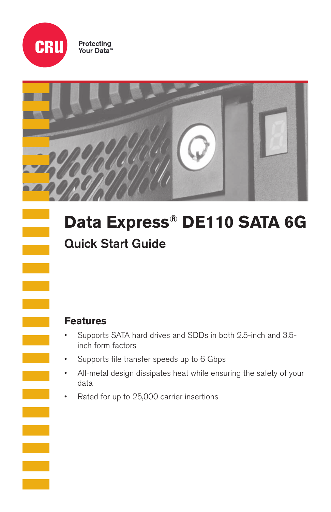

Protecting<br>Your Data<sup>®</sup>



# **Data Express® DE110 SATA 6G**

# Quick Start Guide

## **Features**

- Supports SATA hard drives and SDDs in both 2.5-inch and 3.5 inch form factors
- Supports file transfer speeds up to 6 Gbps
- All-metal design dissipates heat while ensuring the safety of your data
- Rated for up to 25,000 carrier insertions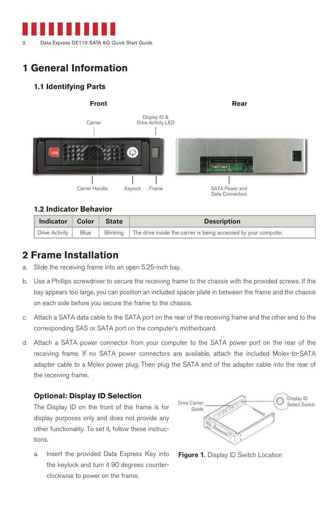

# **1 General Information**

## **1.1 Identifying Parts**



## **1.2 Indicator Behavior**

| Indicator   Color   State |  | <b>Description</b>                                                                                                                       |
|---------------------------|--|------------------------------------------------------------------------------------------------------------------------------------------|
|                           |  | $\Box$ Drive Activity $\parallel$ Blue $\parallel$ Blinking $\parallel$ The drive inside the carrier is being accessed by your computer. |

## **2 Frame Installation**

- a. Slide the receiving frame into an open 5.25-inch bay.
- b. Use a Phillips screwdriver to secure the receiving frame to the chassis with the provided screws. If the bay appears too large, you can position an included spacer plate in between the frame and the chassis on each side before you secure the frame to the chassis.
- c. Attach a SATA data cable to the SATA port on the rear of the receiving frame and the other end to the corresponding SAS or SATA port on the computer's motherboard.
- d. Attach a SATA power connector from your computer to the SATA power port on the rear of the receiving frame. If no SATA power connectors are available, attach the included Molex-to-SATA adapter cable to a Molex power plug. Then plug the SATA end of the adapter cable into the rear of the receiving frame.

### **Optional: Display ID Selection**

The Display ID on the front of the frame is for display purposes only and does not provide any other functionality. To set it, follow these instructions.

a. Insert the provided Data Express Key into the keylock and turn it 90 degrees counterclockwise to power on the frame.



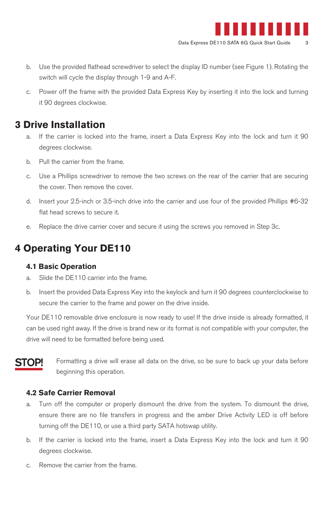

- b. Use the provided flathead screwdriver to select the display ID number (see Figure 1). Rotating the switch will cycle the display through 1-9 and A-F.
- c. Power off the frame with the provided Data Express Key by inserting it into the lock and turning it 90 degrees clockwise.

## **3 Drive Installation**

- a. If the carrier is locked into the frame, insert a Data Express Key into the lock and turn it 90 degrees clockwise.
- b. Pull the carrier from the frame.
- c. Use a Phillips screwdriver to remove the two screws on the rear of the carrier that are securing the cover. Then remove the cover.
- d. Insert your 2.5-inch or 3.5-inch drive into the carrier and use four of the provided Phillips #6-32 flat head screws to secure it.
- e. Replace the drive carrier cover and secure it using the screws you removed in Step 3c.

## **4 Operating Your DE110**

#### **4.1 Basic Operation**

- a. Slide the DE110 carrier into the frame.
- b. Insert the provided Data Express Key into the keylock and turn it 90 degrees counterclockwise to secure the carrier to the frame and power on the drive inside.

Your DE110 removable drive enclosure is now ready to use! If the drive inside is already formatted, it can be used right away. If the drive is brand new or its format is not compatible with your computer, the drive will need to be formatted before being used.

## STOP!

Formatting a drive will erase all data on the drive, so be sure to back up your data before beginning this operation.

#### **4.2 Safe Carrier Removal**

- a. Turn off the computer or properly dismount the drive from the system. To dismount the drive, ensure there are no file transfers in progress and the amber Drive Activity LED is off before turning off the DE110, or use a third party SATA hotswap utility.
- b. If the carrier is locked into the frame, insert a Data Express Key into the lock and turn it 90 degrees clockwise.
- c. Remove the carrier from the frame.